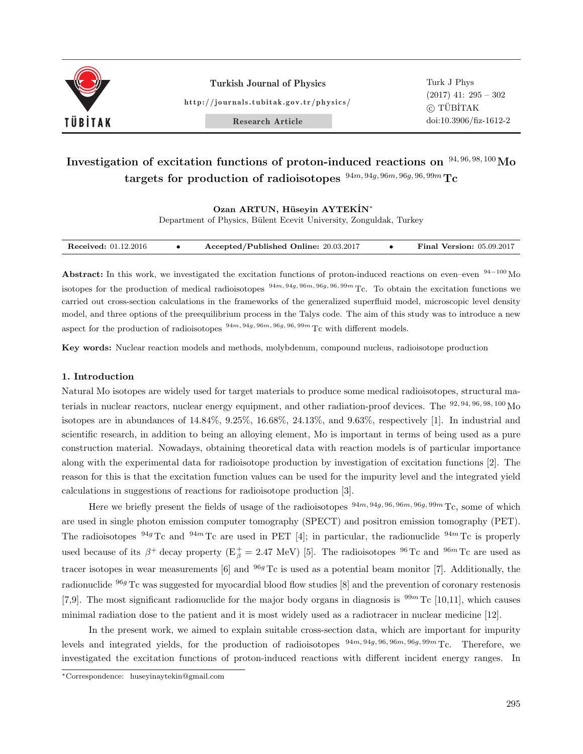

Turkish Journal of Physics

http://journals.tubitak.gov.tr/physics/

Turk J Phys (2017) 41: 295 – 302 *⃝*<sup>c</sup> TUB¨ ˙ITAK doi:10.3906/fiz-1612-2

Research Article

# **Investigation of excitation functions of proton-induced reactions on** <sup>94</sup>*,* <sup>96</sup>*,* <sup>98</sup>*,* <sup>100</sup>**Mo targets for production of radioisotopes** <sup>94</sup>*m,* <sup>94</sup>*g,* <sup>96</sup>*m,* <sup>96</sup>*g,* <sup>96</sup>*,* <sup>99</sup>*<sup>m</sup>* **Tc**

**Ozan ARTUN, H¨useyin AYTEK˙IN***<sup>∗</sup>*

Department of Physics, Bülent Ecevit University, Zonguldak, Turkey

| <b>Received:</b> 01.12.2016 |  | Accepted/Published Online: 20.03.2017 |  | <b>Final Version: 05.09.2017</b> |
|-----------------------------|--|---------------------------------------|--|----------------------------------|
|-----------------------------|--|---------------------------------------|--|----------------------------------|

**Abstract:** In this work, we investigated the excitation functions of proton-induced reactions on even–even <sup>94</sup>*−*<sup>100</sup> Mo isotopes for the production of medical radioisotopes  $\frac{94m}{94g}$ ,  $\frac{96m}{96g}$ ,  $\frac{96g}{96g}$ ,  $\frac{99m}{2c}$ . To obtain the excitation functions we carried out cross-section calculations in the frameworks of the generalized superfluid model, microscopic level density model, and three options of the preequilibrium process in the Talys code. The aim of this study was to introduce a new aspect for the production of radioisotopes  $\frac{94m}{94g}$ ,  $\frac{96m}{96g}$ ,  $\frac{96g}{96g}$ ,  $\frac{99m}{96g}$  Tc with different models.

**Key words:** Nuclear reaction models and methods, molybdenum, compound nucleus, radioisotope production

# **1. Introduction**

Natural Mo isotopes are widely used for target materials to produce some medical radioisotopes, structural materials in nuclear reactors, nuclear energy equipment, and other radiation-proof devices. The  $92, 94, 96, 98, 100$  Mo isotopes are in abundances of 14.84%, 9.25%, 16.68%, 24.13%, and 9.63%, respectively [1]. In industrial and scientific research, in addition to being an alloying element, Mo is important in terms of being used as a pure construction material. Nowadays, obtaining theoretical data with reaction models is of particular importance along with the experimental data for radioisotope production by investigation of excitation functions [2]. The reason for this is that the excitation function values can be used for the impurity level and the integrated yield calculations in suggestions of reactions for radioisotope production [3].

Here we briefly present the fields of usage of the radioisotopes  $\frac{94m}{94g}$ ,  $\frac{96m}{96g}$ ,  $\frac{96m}{96g}$ ,  $\frac{99m}{1c}$ , some of which are used in single photon emission computer tomography (SPECT) and positron emission tomography (PET). The radioisotopes  $94g$  Tc and  $94m$  Tc are used in PET [4]; in particular, the radionuclide  $94m$  Tc is properly used because of its  $\beta^+$  decay property ( $E^+_\beta = 2.47$  MeV) [5]. The radioisotopes <sup>96</sup> Tc and <sup>96*m*</sup> Tc are used as tracer isotopes in wear measurements [6] and <sup>96*g*</sup> Tc is used as a potential beam monitor [7]. Additionally, the radionuclide <sup>96</sup>*<sup>g</sup>* Tc was suggested for myocardial blood flow studies [8] and the prevention of coronary restenosis [7,9]. The most significant radionuclide for the major body organs in diagnosis is  $99m$  Tc [10,11], which causes minimal radiation dose to the patient and it is most widely used as a radiotracer in nuclear medicine [12].

In the present work, we aimed to explain suitable cross-section data, which are important for impurity levels and integrated yields, for the production of radioisotopes <sup>94</sup>*m,* <sup>94</sup>*g,* <sup>96</sup>*,* <sup>96</sup>*m,* <sup>96</sup>*g,* <sup>99</sup>*<sup>m</sup>* Tc. Therefore, we investigated the excitation functions of proton-induced reactions with different incident energy ranges. In

*∗*Correspondence: huseyinaytekin@gmail.com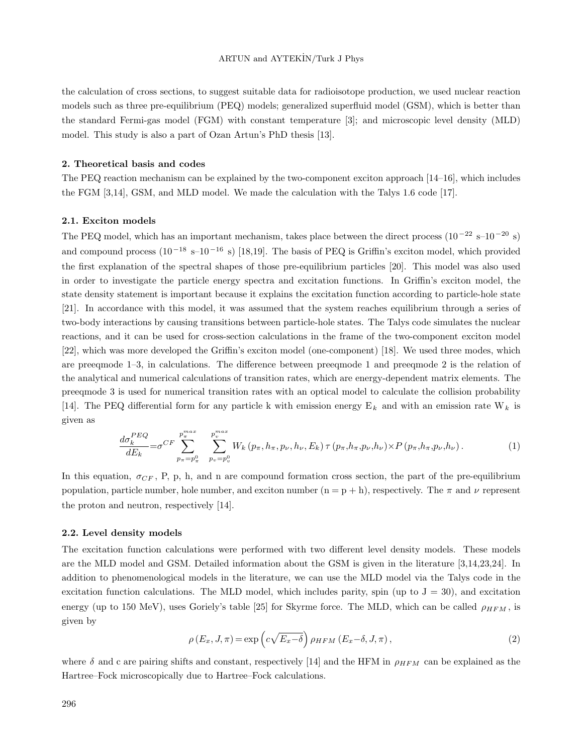the calculation of cross sections, to suggest suitable data for radioisotope production, we used nuclear reaction models such as three pre-equilibrium (PEQ) models; generalized superfluid model (GSM), which is better than the standard Fermi-gas model (FGM) with constant temperature [3]; and microscopic level density (MLD) model. This study is also a part of Ozan Artun's PhD thesis [13].

# **2. Theoretical basis and codes**

The PEQ reaction mechanism can be explained by the two-component exciton approach [14–16], which includes the FGM [3,14], GSM, and MLD model. We made the calculation with the Talys 1.6 code [17].

#### **2.1. Exciton models**

The PEQ model, which has an important mechanism, takes place between the direct process (10 *<sup>−</sup>*<sup>22</sup> s–10*−*<sup>20</sup> s) and compound process (10<sup>-18</sup> s–10<sup>-16</sup> s) [18,19]. The basis of PEQ is Griffin's exciton model, which provided the first explanation of the spectral shapes of those pre-equilibrium particles [20]. This model was also used in order to investigate the particle energy spectra and excitation functions. In Griffin's exciton model, the state density statement is important because it explains the excitation function according to particle-hole state [21]. In accordance with this model, it was assumed that the system reaches equilibrium through a series of two-body interactions by causing transitions between particle-hole states. The Talys code simulates the nuclear reactions, and it can be used for cross-section calculations in the frame of the two-component exciton model [22], which was more developed the Griffin's exciton model (one-component) [18]. We used three modes, which are preeqmode 1–3, in calculations. The difference between preeqmode 1 and preeqmode 2 is the relation of the analytical and numerical calculations of transition rates, which are energy-dependent matrix elements. The preeqmode 3 is used for numerical transition rates with an optical model to calculate the collision probability [14]. The PEQ differential form for any particle k with emission energy E*<sup>k</sup>* and with an emission rate W*<sup>k</sup>* is given as

$$
\frac{d\sigma_k^{PEQ}}{dE_k} = \sigma^{CF} \sum_{p_{\pi} = p_{\pi}^0}^{p_{\pi}^{max}} \sum_{p_v = p_v^0}^{p_v^{max}} W_k(p_{\pi}, h_{\pi}, p_{\nu}, h_{\nu}, E_k) \tau(p_{\pi}, h_{\pi}, p_{\nu}, h_{\nu}) \times P(p_{\pi}, h_{\pi}, p_{\nu}, h_{\nu}).
$$
\n(1)

In this equation,  $\sigma_{CF}$ , P, p, h, and n are compound formation cross section, the part of the pre-equilibrium population, particle number, hole number, and exciton number  $(n = p + h)$ , respectively. The  $\pi$  and  $\nu$  represent the proton and neutron, respectively [14].

## **2.2. Level density models**

The excitation function calculations were performed with two different level density models. These models are the MLD model and GSM. Detailed information about the GSM is given in the literature [3,14,23,24]. In addition to phenomenological models in the literature, we can use the MLD model via the Talys code in the excitation function calculations. The MLD model, which includes parity, spin (up to  $J = 30$ ), and excitation energy (up to 150 MeV), uses Goriely's table [25] for Skyrme force. The MLD, which can be called *ρHFM* , is given by

$$
\rho(E_x, J, \pi) = \exp\left(c\sqrt{E_x - \delta}\right) \rho_{HFM}(E_x - \delta, J, \pi),\tag{2}
$$

where  $\delta$  and c are pairing shifts and constant, respectively [14] and the HFM in  $\rho_{HFM}$  can be explained as the Hartree–Fock microscopically due to Hartree–Fock calculations.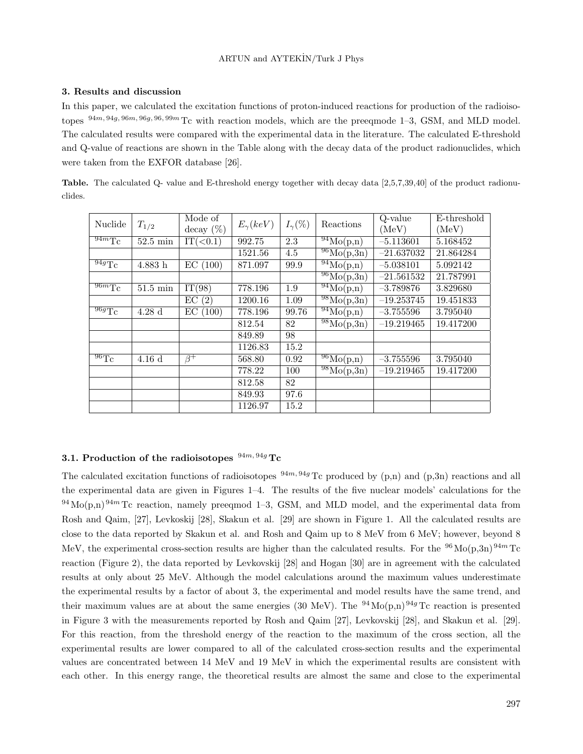## **3. Results and discussion**

In this paper, we calculated the excitation functions of proton-induced reactions for production of the radioisotopes <sup>94</sup>*m,* <sup>94</sup>*g,* <sup>96</sup>*m,* <sup>96</sup>*g,* <sup>96</sup>*,* <sup>99</sup>*<sup>m</sup>* Tc with reaction models, which are the preeqmode 1–3, GSM, and MLD model. The calculated results were compared with the experimental data in the literature. The calculated E-threshold and Q-value of reactions are shown in the Table along with the decay data of the product radionuclides, which were taken from the EXFOR database [26].

**Table.** The calculated Q- value and E-threshold energy together with decay data [2,5,7,39,40] of the product radionuclides.

| Nuclide                      | $T_{1/2}$          | Mode of     | $E_{\gamma}(keV)$ | $I_{\gamma}(\%)$ | Reactions                           | Q-value      | E-threshold |
|------------------------------|--------------------|-------------|-------------------|------------------|-------------------------------------|--------------|-------------|
|                              |                    | decay (%)   |                   |                  |                                     | (MeV)        | (MeV)       |
| $\sqrt[94m]{T_C}$            | $52.5 \text{ min}$ | $IT(0.1)$   | 992.75            | 2.3              | $\sqrt[94]{\text{Mo}}(p,n)$         | $-5.113601$  | 5.168452    |
|                              |                    |             | 1521.56           | 4.5              | $\sqrt[96]{\text{Mo}(p,3n)}$        | $-21.637032$ | 21.864284   |
| $\overline{^{94g}\text{Tc}}$ | $4.883~\mathrm{h}$ | (100)<br>EС | 871.097           | 99.9             | $\sqrt[94]{\text{Mo}(p,n)}$         | $-5.038101$  | 5.092142    |
|                              |                    |             |                   |                  | $\sqrt[96]{\text{Mo}(\text{p},3n)}$ | $-21.561532$ | 21.787991   |
| $\sqrt{96mTc}$               | $51.5 \text{ min}$ | IT(98)      | 778.196           | 1.9              | $\sqrt[94]{Mo}(p,n)$                | $-3.789876$  | 3.829680    |
|                              |                    | EC(2)       | 1200.16           | 1.09             | $\sqrt[98]{\text{Mo}(p,3n)}$        | $-19.253745$ | 19.451833   |
| $\overline{^{96g}\text{Tc}}$ | 4.28d              | EС<br>(100) | 778.196           | 99.76            | $\sqrt[94]{\text{Mo}}(p,n)$         | $-3.755596$  | 3.795040    |
|                              |                    |             | 812.54            | 82               | $\sqrt[98]{\text{Mo}(\text{p},3n)}$ | $-19.219465$ | 19.417200   |
|                              |                    |             | 849.89            | 98               |                                     |              |             |
|                              |                    |             | 1126.83           | 15.2             |                                     |              |             |
| $^{96}$ Tc                   | $4.16\ \mathrm{d}$ | $\beta^+$   | 568.80            | 0.92             | $\sqrt[96]{\text{Mo}}(p,n)$         | $-3.755596$  | 3.795040    |
|                              |                    |             | 778.22            | 100              | $\sqrt[98]{\text{Mo}(p,3n)}$        | $-19.219465$ | 19.417200   |
|                              |                    |             | 812.58            | 82               |                                     |              |             |
|                              |                    |             | 849.93            | 97.6             |                                     |              |             |
|                              |                    |             | 1126.97           | 15.2             |                                     |              |             |

# **3.1. Production of the radioisotopes** <sup>94</sup>*m,* <sup>94</sup>*<sup>g</sup>* **Tc**

The calculated excitation functions of radioisotopes  $94m, 94g$  Tc produced by (p,n) and (p,3n) reactions and all the experimental data are given in Figures 1–4. The results of the five nuclear models' calculations for the  $94\,\text{Mo}(p,n)\,94m\,\text{Te}\,$  reaction, namely preeqmod 1–3, GSM, and MLD model, and the experimental data from Rosh and Qaim, [27], Levkoskij [28], Skakun et al. [29] are shown in Figure 1. All the calculated results are close to the data reported by Skakun et al. and Rosh and Qaim up to 8 MeV from 6 MeV; however, beyond 8 MeV, the experimental cross-section results are higher than the calculated results. For the <sup>96</sup>Mo(p,3n)<sup>94*m*</sup> Tc reaction (Figure 2), the data reported by Levkovskij [28] and Hogan [30] are in agreement with the calculated results at only about 25 MeV. Although the model calculations around the maximum values underestimate the experimental results by a factor of about 3, the experimental and model results have the same trend, and their maximum values are at about the same energies (30 MeV). The <sup>94</sup>Mo(p,n)<sup>94g</sup>Tc reaction is presented in Figure 3 with the measurements reported by Rosh and Qaim [27], Levkovskij [28], and Skakun et al. [29]. For this reaction, from the threshold energy of the reaction to the maximum of the cross section, all the experimental results are lower compared to all of the calculated cross-section results and the experimental values are concentrated between 14 MeV and 19 MeV in which the experimental results are consistent with each other. In this energy range, the theoretical results are almost the same and close to the experimental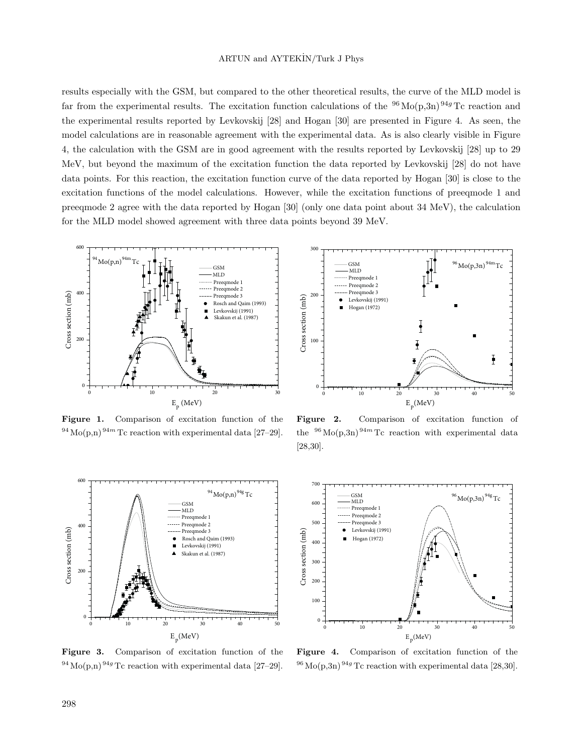# ARTUN and AYTEK˙IN/Turk J Phys

results especially with the GSM, but compared to the other theoretical results, the curve of the MLD model is far from the experimental results. The excitation function calculations of the  $96\text{Mo}(p,3n)$   $94g\text{Tc}$  reaction and the experimental results reported by Levkovskij [28] and Hogan [30] are presented in Figure 4. As seen, the model calculations are in reasonable agreement with the experimental data. As is also clearly visible in Figure 4, the calculation with the GSM are in good agreement with the results reported by Levkovskij [28] up to 29 MeV, but beyond the maximum of the excitation function the data reported by Levkovskij [28] do not have data points. For this reaction, the excitation function curve of the data reported by Hogan [30] is close to the excitation functions of the model calculations. However, while the excitation functions of preeqmode 1 and preeqmode 2 agree with the data reported by Hogan [30] (only one data point about 34 MeV), the calculation for the MLD model showed agreement with three data points beyond 39 MeV.



**Figure 1.** Comparison of excitation function of the  $^{94}$  Mo(p,n)<sup>94*m*</sup> Tc reaction with experimental data [27–29].



**Figure 3.** Comparison of excitation function of the  $^{94}$  Mo(p,n)<sup>94g</sup> Tc reaction with experimental data [27–29].



**Figure 2.** Comparison of excitation function of the  $96 \text{Mo}(p,3n)$   $94m$  Tc reaction with experimental data [28,30].



**Figure 4.** Comparison of excitation function of the  $^{96}$  Mo(p,3n)<sup>94g</sup> Tc reaction with experimental data [28,30].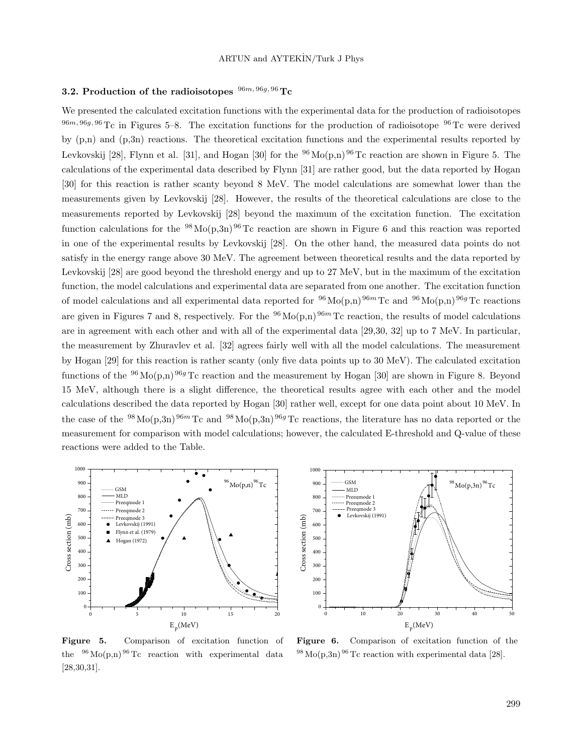## **3.2. Production of the radioisotopes** <sup>96</sup>*m,* <sup>96</sup>*g,* <sup>96</sup> **Tc**

We presented the calculated excitation functions with the experimental data for the production of radioisotopes  $96m, 96g, 96 \text{ Tc}$  in Figures 5–8. The excitation functions for the production of radioisotope  $96 \text{ Tc}$  were derived by (p,n) and (p,3n) reactions. The theoretical excitation functions and the experimental results reported by Levkovskij [28], Flynn et al. [31], and Hogan [30] for the  $^{96}$ Mo(p,n)  $^{96}$ Tc reaction are shown in Figure 5. The calculations of the experimental data described by Flynn [31] are rather good, but the data reported by Hogan [30] for this reaction is rather scanty beyond 8 MeV. The model calculations are somewhat lower than the measurements given by Levkovskij [28]. However, the results of the theoretical calculations are close to the measurements reported by Levkovskij [28] beyond the maximum of the excitation function. The excitation function calculations for the <sup>98</sup>Mo(p,3n)<sup>96</sup>Tc reaction are shown in Figure 6 and this reaction was reported in one of the experimental results by Levkovskij [28]. On the other hand, the measured data points do not satisfy in the energy range above 30 MeV. The agreement between theoretical results and the data reported by Levkovskij [28] are good beyond the threshold energy and up to 27 MeV, but in the maximum of the excitation function, the model calculations and experimental data are separated from one another. The excitation function of model calculations and all experimental data reported for  $96 \text{Mo}(p,n)$   $96m$  Tc and  $96 \text{Mo}(p,n)$   $96g$  Tc reactions are given in Figures 7 and 8, respectively. For the  $96 \text{Mo}(p,n)$   $96m$  Tc reaction, the results of model calculations are in agreement with each other and with all of the experimental data [29,30, 32] up to 7 MeV. In particular, the measurement by Zhuravlev et al. [32] agrees fairly well with all the model calculations. The measurement by Hogan [29] for this reaction is rather scanty (only five data points up to 30 MeV). The calculated excitation functions of the <sup>96</sup> Mo(p,n) <sup>96*g*</sup> Tc reaction and the measurement by Hogan [30] are shown in Figure 8. Beyond 15 MeV, although there is a slight difference, the theoretical results agree with each other and the model calculations described the data reported by Hogan [30] rather well, except for one data point about 10 MeV. In the case of the  $98 \text{ Mo}(p,3n)$   $96m$  Tc and  $98 \text{ Mo}(p,3n)$   $96g$  Tc reactions, the literature has no data reported or the measurement for comparison with model calculations; however, the calculated E-threshold and Q-value of these reactions were added to the Table.

1000



 GSM  $^{98}$ Mo(p,3n) $^{96}$ Tc 900 MLD 800 Preeqmode 1 Preeqmode 2 Preeqmode 3 700 Levkovskij (1991) Cross section (mb) Cross section (mb) 600 500 400 300 200 100 0 0 10 20 30 40 50  $E_p$ (MeV)

**Figure 5.** Comparison of excitation function of the  $96 \text{Mo}(p,n)$   $96 \text{Te}$  reaction with experimental data [28,30,31].

**Figure 6.** Comparison of excitation function of the  $^{98}$  Mo(p,3n)  $^{96}$  Tc reaction with experimental data [28].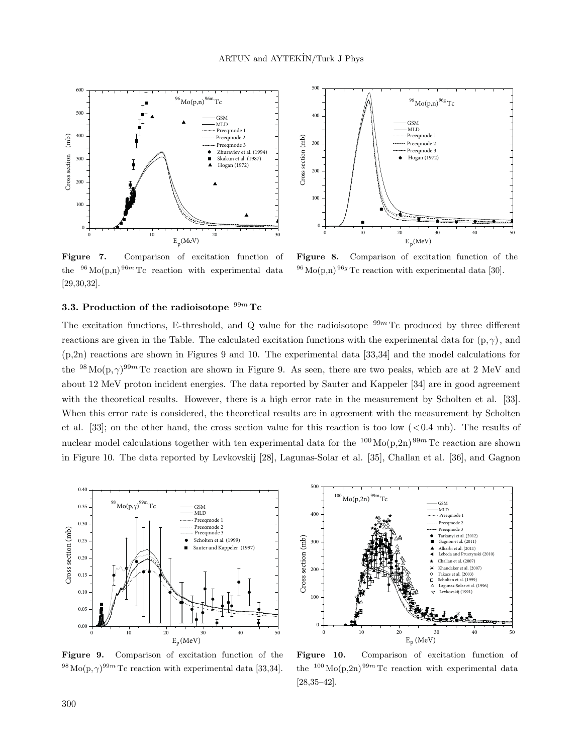

**Figure 7.** Comparison of excitation function of the  $96 \text{Mo}(p,n)$   $96m$  Tc reaction with experimental data [29,30,32].



**Figure 8.** Comparison of excitation function of the  $^{96}$  Mo(p,n)  $^{96g}$  Tc reaction with experimental data [30].

## **3.3. Production of the radioisotope** <sup>99</sup>*<sup>m</sup>* **Tc**

The excitation functions, E-threshold, and Q value for the radioisotope  $99m$  Tc produced by three different reactions are given in the Table. The calculated excitation functions with the experimental data for  $(p, \gamma)$ , and (p,2n) reactions are shown in Figures 9 and 10. The experimental data [33,34] and the model calculations for the <sup>98</sup>Mo(p,*γ*) <sup>99</sup>*<sup>m</sup>* Tc reaction are shown in Figure 9. As seen, there are two peaks, which are at 2 MeV and about 12 MeV proton incident energies. The data reported by Sauter and Kappeler [34] are in good agreement with the theoretical results. However, there is a high error rate in the measurement by Scholten et al. [33]. When this error rate is considered, the theoretical results are in agreement with the measurement by Scholten et al. [33]; on the other hand, the cross section value for this reaction is too low (*<*0.4 mb). The results of nuclear model calculations together with ten experimental data for the <sup>100</sup>Mo(p,2n)<sup>99*m*</sup> Tc reaction are shown in Figure 10. The data reported by Levkovskij [28], Lagunas-Solar et al. [35], Challan et al. [36], and Gagnon



**Figure 9.** Comparison of excitation function of the  $^{98}\text{Mo}(p,\gamma)^{99m}\text{Tc reaction with experimental data }[33,34].$ 



**Figure 10.** Comparison of excitation function of the  $100 \text{ Mo}(p,2n)$  <sup>99*m*</sup> Tc reaction with experimental data [28,35–42].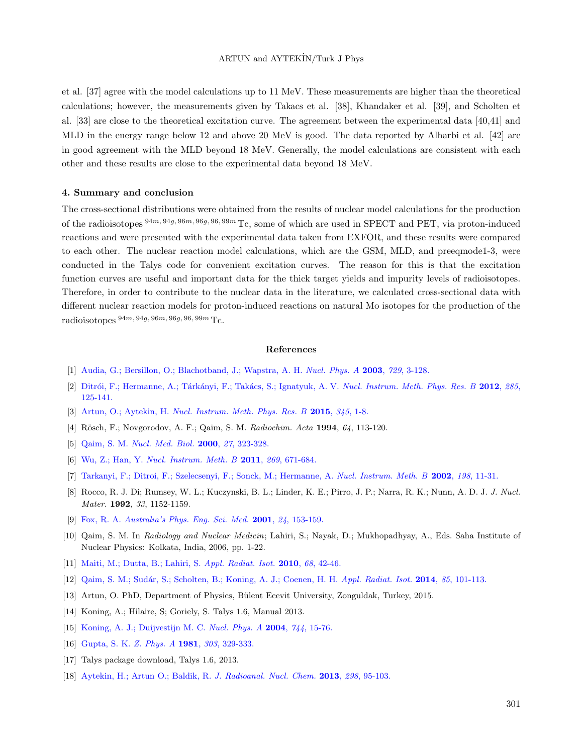# ARTUN and AYTEKİN/Turk J Phys

et al. [37] agree with the model calculations up to 11 MeV. These measurements are higher than the theoretical calculations; however, the measurements given by Takacs et al. [38], Khandaker et al. [39], and Scholten et al. [33] are close to the theoretical excitation curve. The agreement between the experimental data [40,41] and MLD in the energy range below 12 and above 20 MeV is good. The data reported by Alharbi et al. [42] are in good agreement with the MLD beyond 18 MeV. Generally, the model calculations are consistent with each other and these results are close to the experimental data beyond 18 MeV.

## **4. Summary and conclusion**

The cross-sectional distributions were obtained from the results of nuclear model calculations for the production of the radioisotopes <sup>94</sup>*m,* <sup>94</sup>*g,* <sup>96</sup>*m,* <sup>96</sup>*g,* <sup>96</sup>*,* <sup>99</sup>*<sup>m</sup>* Tc, some of which are used in SPECT and PET, via proton-induced reactions and were presented with the experimental data taken from EXFOR, and these results were compared to each other. The nuclear reaction model calculations, which are the GSM, MLD, and preeqmode1-3, were conducted in the Talys code for convenient excitation curves. The reason for this is that the excitation function curves are useful and important data for the thick target yields and impurity levels of radioisotopes. Therefore, in order to contribute to the nuclear data in the literature, we calculated cross-sectional data with different nuclear reaction models for proton-induced reactions on natural Mo isotopes for the production of the  $radioisotopes$   $94m, 94g, 96m, 96g, 96, 99m$  Tc.

#### **References**

- [1] [Audia, G.; Bersillon, O.; Blachotband, J.; Wapstra, A. H.](http://dx.doi.org/10.1016/j.nuclphysa.2003.11.001) *Nucl. Phys. A* **2003**, *729*, 3-128.
- [2] [Ditr´oi, F.; Hermanne, A.; T´ark´anyi, F.; Tak´acs, S.; Ignatyuk, A. V.](http://dx.doi.org/10.1016/j.nimb.2012.05.030) *Nucl. Instrum. Meth. Phys. Res. B* **2012**, *285*, [125-141.](http://dx.doi.org/10.1016/j.nimb.2012.05.030)
- [3] Artun, O.; Aytekin, H. *[Nucl. Instrum. Meth. Phys. Res. B](http://dx.doi.org/10.1016/j.nimb.2014.12.029)* **2015**, *345*, 1-8.
- [4] R¨osch, F.; Novgorodov, A. F.; Qaim, S. M. *Radiochim. Acta* **1994**, *64*, 113-120.
- [5] Qaim, S. M. *[Nucl. Med. Biol.](http://dx.doi.org/10.1016/S0969-8051(00)00104-9)* **2000**, *27*, 323-328.
- [6] Wu, Z.; Han, Y. *[Nucl. Instrum. Meth. B](http://dx.doi.org/10.1016/j.nimb.2011.01.126)* **2011**, *269*, 671-684.
- [7] [Tarkanyi, F.; Ditroi, F.; Szelecsenyi, F.; Sonck, M.; Hermanne, A.](http://dx.doi.org/10.1016/S0168-583X(02)01523-9) *Nucl. Instrum. Meth. B* **2002**, *198*, 11-31.
- [8] Rocco, R. J. Di; Rumsey, W. L.; Kuczynski, B. L.; Linder, K. E.; Pirro, J. P.; Narra, R. K.; Nunn, A. D. J. *J. Nucl. Mater.* **1992**, *33*, 1152-1159.
- [9] Fox, R. A. *[Australia's Phys. Eng. Sci. Med.](http://dx.doi.org/10.1007/BF03178357)* **2001**, *24*, 153-159.
- [10] Qaim, S. M. In *Radiology and Nuclear Medicin*; Lahiri, S.; Nayak, D.; Mukhopadhyay, A., Eds. Saha Institute of Nuclear Physics: Kolkata, India, 2006, pp. 1-22.
- [11] [Maiti, M.; Dutta, B.; Lahiri, S.](http://dx.doi.org/10.1016/j.apradiso.2009.09.044) *Appl. Radiat. Isot.* **2010**, *68*, 42-46.
- [12] [Qaim, S. M.; Sud´ar, S.; Scholten, B.; Koning, A. J.; Coenen, H. H.](http://dx.doi.org/10.1016/j.apradiso.2013.10.004) *Appl. Radiat. Isot.* **2014**, *85*, 101-113.
- [13] Artun, O. PhD, Department of Physics, B¨ulent Ecevit University, Zonguldak, Turkey, 2015.
- [14] Koning, A.; Hilaire, S; Goriely, S. Talys 1.6, Manual 2013.
- [15] [Koning, A. J.; Duijvestijn M. C.](http://dx.doi.org/10.1016/j.nuclphysa.2004.08.013) *Nucl. Phys. A* **2004**, *744*, 15-76.
- [16] [Gupta, S. K.](http://dx.doi.org/10.1007/BF01421531) *Z. Phys. A* **1981**, *303*, 329-333.
- [17] Talys package download, Talys 1.6, 2013.
- [18] [Aytekin, H.; Artun O.; Baldik, R.](http://dx.doi.org/10.1007/s10967-013-2478-y) *J. Radioanal. Nucl. Chem.* **2013**, *298*, 95-103.